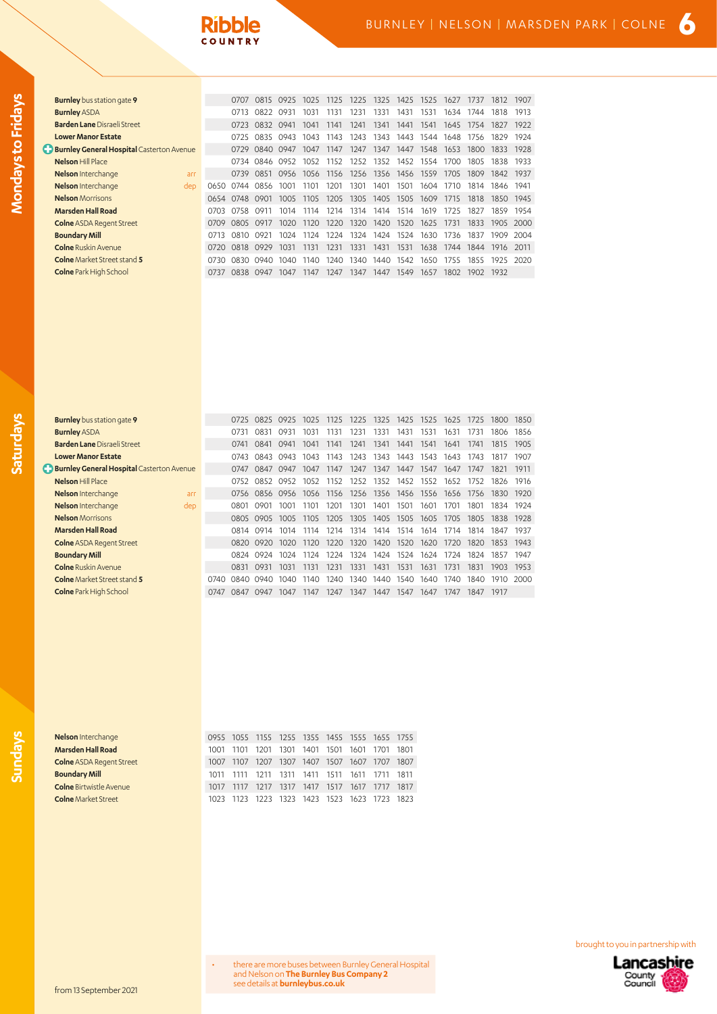| <b>Burnley</b> bus station gate 9                  |      | 0707        | 0815 | 0925 | 1025 | 1125 | 1225 | 1325      | 1425 | 1525 | 1627 | 1737 | 1812 | 1907  |
|----------------------------------------------------|------|-------------|------|------|------|------|------|-----------|------|------|------|------|------|-------|
| <b>Burnley ASDA</b>                                |      | 0713        | 0822 | 0931 | 1031 | 1131 | 1231 | 1331      | 1431 | 1531 | 1634 | 1744 | 1818 | 1913  |
| <b>Barden Lane Disraeli Street</b>                 |      | 0723        | 0832 | 0941 | 1041 | 1141 | 1241 | 1341      | 1441 | 1541 | 1645 | 1754 | 1827 | 1922  |
| <b>Lower Manor Estate</b>                          |      | 0725        | 0835 | 0943 | 1043 | 1143 | 1243 | 1343      | 1443 | 1544 | 1648 | 1756 | 1829 | 1924  |
| <b>C</b> Burnley General Hospital Casterton Avenue |      | 0729        | 0840 | 0947 | 1047 | 1147 | 1247 | 1347      | 1447 | 1548 | 1653 | 1800 | 1833 | 1928  |
| <b>Nelson Hill Place</b>                           |      | 0734        | 0846 | 0952 | 1052 | 1152 | 1252 | 1352      | 1452 | 1554 | 1700 | 1805 | 1838 | 1933  |
| Nelson Interchange<br>arr                          |      | 0739        | 0851 | 0956 | 1056 | 1156 | 1256 | 1356      | 1456 | 1559 | 1705 | 1809 | 1842 | 1937  |
| Nelson Interchange<br>dep                          |      | 0650 0744   | 0856 | 1001 | 1101 | 1201 | 1301 | 1401      | 1501 | 1604 | 1710 | 1814 | 1846 | 1941  |
| <b>Nelson</b> Morrisons                            |      | 0654 0748   | 0901 | 1005 | 1105 | 1205 | 1305 | 1405 1505 |      | 1609 | 1715 | 1818 | 1850 | 1945  |
| Marsden Hall Road                                  | O703 | 0758        | 0911 | 1014 | 1114 | 1214 | 1314 | 1414      | 1514 | 1619 | 1725 | 1827 | 1859 | 1954  |
| <b>Colne ASDA Regent Street</b>                    | 0709 | <b>0805</b> | 0917 | 1020 | 1120 | 1220 | 1320 | 1420      | 1520 | 1625 | 1731 | 1833 | 1905 | -2000 |
| <b>Boundary Mill</b>                               | 0713 | 0810        | 0921 | 1024 | 1124 | 1224 | 1324 | 1424      | 1524 | 1630 | 1736 | 1837 | 1909 | 2004  |
| <b>Colne</b> Ruskin Avenue                         | 0720 | 0818        | 0929 | 1031 | 1131 | 1231 | 1331 | 1431      | 1531 | 1638 | 1744 | 1844 | 1916 | 2011  |
| <b>Colne</b> Market Street stand 5                 | 0730 | 0830        | 0940 | 1040 | 1140 | 1240 | 1340 | 1440      | 1542 | 1650 | 1755 | 1855 | 1925 | 2020  |
| <b>Colne</b> Park High School                      | 0737 | 0838        | 0947 | 1047 | 1147 | 1247 | 1347 | 1447      | 1549 | 1657 | 1802 | 1902 | 1932 |       |

| <b>Burnley</b> bus station gate 9                  |      | 0725 | 0825           | 0925 | 1025 | 1125 | 1225 |                | 1325 1425 1525 |      |      | 1625 1725 | 1800 | 1850 |
|----------------------------------------------------|------|------|----------------|------|------|------|------|----------------|----------------|------|------|-----------|------|------|
| <b>Burnley ASDA</b>                                |      | 0731 | 0831           | 0931 | 1031 | 1131 | 1231 | 1331           | 1431           | 1531 | 1631 | 1731      | 1806 | 1856 |
| <b>Barden Lane Disraeli Street</b>                 |      | 0741 | 0841           | 0941 | 1041 | 1141 | 1241 | 1341           | 1441           | 1541 | 1641 | 1741      | 1815 | 1905 |
| <b>Lower Manor Estate</b>                          |      | 0743 | 0843           | 0943 | 1043 | 1143 | 1243 | 1343           | 1443           | 1543 | 1643 | 1743      | 1817 | 1907 |
| <b>C</b> Burnley General Hospital Casterton Avenue |      | 0747 | 0847           | 0947 | 1047 | 1147 | 1247 | 1347           | 1447           | 1547 | 1647 | 1747      | 1821 | 1911 |
| <b>Nelson Hill Place</b>                           |      | 0752 | 0852           | 0952 | 1052 | 1152 | 1252 | 1352           | 1452           | 1552 | 1652 | 1752      | 1826 | 1916 |
| Nelson Interchange<br>arr                          |      |      | 0756 0856 0956 |      | 1056 | 1156 | 1256 |                | 1356 1456 1556 |      | 1656 | 1756      | 1830 | 1920 |
| Nelson Interchange<br>dep                          |      | 0801 | 0901           | 1001 | 1101 | 1201 | 1301 | 1401           | 1501           | 1601 | 1701 | 1801      | 1834 | 1924 |
| <b>Nelson</b> Morrisons                            |      |      | 0805 0905      | 1005 | 1105 | 1205 | 1305 | 1405 1505      |                | 1605 | 1705 | 1805      | 1838 | 1928 |
| <b>Marsden Hall Road</b>                           |      |      | 0814 0914      | 1014 | 1114 | 1214 | 1314 |                | 1414 1514      | 1614 | 1714 | 1814      | 1847 | 1937 |
| <b>Colne ASDA Regent Street</b>                    |      |      | 0820 0920      | 1020 | 1120 | 1220 | 1320 | 1420           | 1520           | 1620 | 1720 | 1820      | 1853 | 1943 |
| <b>Boundary Mill</b>                               |      | 0824 | 0924           | 1024 | 1124 | 1224 | 1324 |                | 1424 1524 1624 |      | 1724 | 1824      | 1857 | 1947 |
| <b>Colne</b> Ruskin Avenue                         |      | 0831 | 0931           | 1031 | 1131 | 1231 | 1331 | 1431           | 1531           | 1631 | 1731 | 1831      | 1903 | 1953 |
| <b>Colne</b> Market Street stand 5                 | 0740 |      | 0840 0940      | 1040 | 1140 | 1240 | 1340 | 1440 1540 1640 |                |      | 1740 | 1840      | 1910 | 2000 |
| <b>Colne</b> Park High School                      | 0747 | 0847 | 0947           | 1047 | 1147 | 1247 | 1347 | 1447           | 1547           | 1647 | 1747 | 1847      | 1917 |      |
|                                                    |      |      |                |      |      |      |      |                |                |      |      |           |      |      |

**Mondays to Fridays**

Mondays to Fridays

**Saturdays**

**Nelson** Interchange **Marsden Hall Road Colne** ASDA Regent Street **Boundary Mill Colne** Birtwistle Avenue **Colne** Market Street

| 1001 1101 1201 1301 1401 1501 1601 1701 1801 |
|----------------------------------------------|
| 1007 1107 1207 1307 1407 1507 1607 1707 1807 |
| 1011 1111 1211 1311 1411 1511 1611 1711 1811 |
| 1017 1117 1217 1317 1417 1517 1617 1717 1817 |
| 1023 1123 1223 1323 1423 1523 1623 1723 1823 |
|                                              |